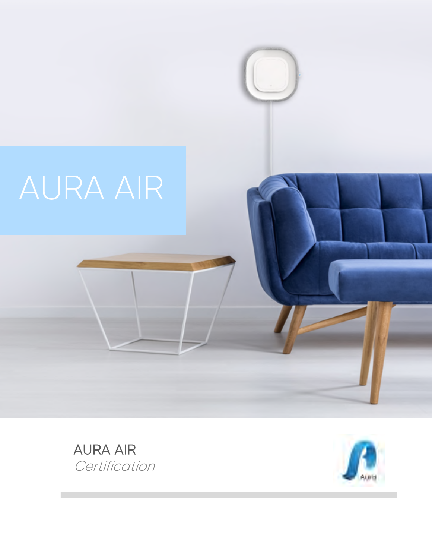# AURA AIR



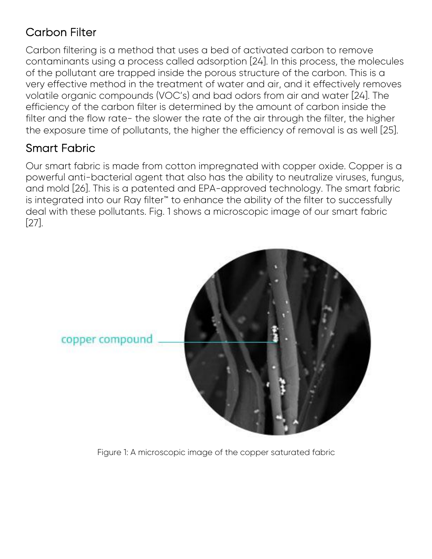# Carbon Filter

Carbon filtering is a method that uses a bed of activated carbon to remove contaminants using a process called adsorption [24]. In this process, the molecules of the pollutant are trapped inside the porous structure of the carbon. This is a very effective method in the treatment of water and air, and it effectively removes volatile organic compounds (VOC's) and bad odors from air and water [24]. The efficiency of the carbon filter is determined by the amount of carbon inside the filter and the flow rate- the slower the rate of the air through the filter, the higher the exposure time of pollutants, the higher the efficiency of removal is as well [25].

# Smart Fabric

Our smart fabric is made from cotton impregnated with copper oxide. Copper is a powerful anti-bacterial agent that also has the ability to neutralize viruses, fungus, and mold [26]. This is a patented and EPA-approved technology. The smart fabric is integrated into our Ray filter<sup>™</sup> to enhance the ability of the filter to successfully deal with these pollutants. Fig. 1 shows a microscopic image of our smart fabric [27].



Figure 1: A microscopic image of the copper saturated fabric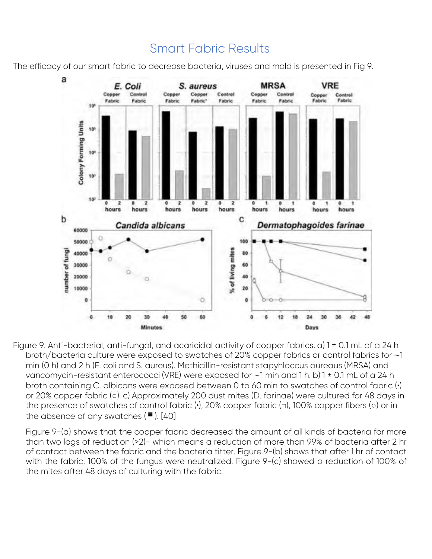

# Smart Fabric Results

The efficacy of our smart fabric to decrease bacteria, viruses and mold is presented in Fig 9.

Figure 9. Anti-bacterial, anti-fungal, and acaricidal activity of copper fabrics. a) 1 ± 0.1 mL of a 24 h broth/bacteria culture were exposed to swatches of 20% copper fabrics or control fabrics for ∼1 min (0 h) and 2 h (E. coli and S. aureus). Methicillin-resistant stapyhloccus aureaus (MRSA) and vancomycin-resistant enterococci (VRE) were exposed for ∼1 min and 1 h. b) 1 ± 0.1 mL of a 24 h broth containing C. albicans were exposed between 0 to 60 min to swatches of control fabric (•) or 20% copper fabric (○). c) Approximately 200 dust mites (D. farinae) were cultured for 48 days in the presence of swatches of control fabric (•), 20% copper fabric (□), 100% copper fibers (○) or in the absence of any swatches  $(\blacksquare)$ . [40]

Figure 9-(a) shows that the copper fabric decreased the amount of all kinds of bacteria for more than two logs of reduction (>2)- which means a reduction of more than 99% of bacteria after 2 hr of contact between the fabric and the bacteria titter. Figure 9-(b) shows that after 1 hr of contact with the fabric, 100% of the fungus were neutralized. Figure 9-(c) showed a reduction of 100% of the mites after 48 days of culturing with the fabric.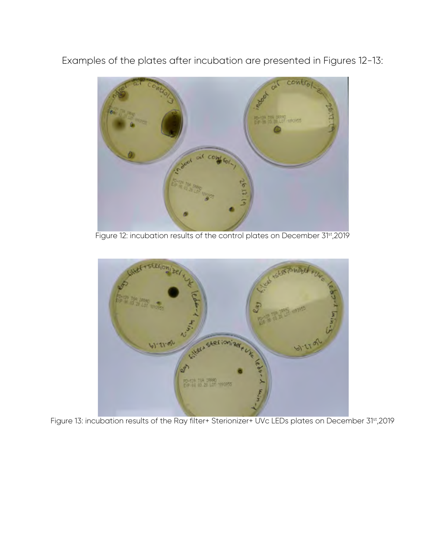Examples of the plates after incubation are presented in Figures 12-13:



Figure 12: incubation results of the control plates on December 31st, 2019



Figure 13: incubation results of the Ray filter+ Sterionizer+ UVc LEDs plates on December 31<sup>st</sup>,2019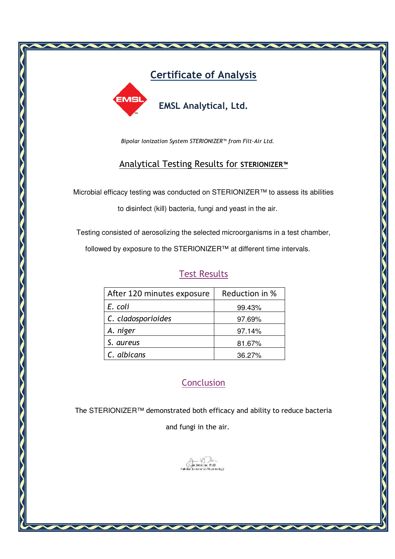

*Bipolar Ionization System STERIONIZER™ from Filt-Air Ltd.* 

#### Analytical Testing Results for **STERIONIZER™**

Microbial efficacy testing was conducted on STERIONIZER™ to assess its abilities

to disinfect (kill) bacteria, fungi and yeast in the air.

Testing consisted of aerosolizing the selected microorganisms in a test chamber,

followed by exposure to the STERIONIZER™ at different time intervals.

# Test Results

| After 120 minutes exposure | Reduction in % |  |  |  |  |
|----------------------------|----------------|--|--|--|--|
| E. coli                    | 99.43%         |  |  |  |  |
| C. cladosporioides         | 97.69%         |  |  |  |  |
| A. niger                   | 97.14%         |  |  |  |  |
| S. aureus                  | 81.67%         |  |  |  |  |
| C. albicans                | 36.27%         |  |  |  |  |

### **Conclusion**

The STERIONIZER™ demonstrated both efficacy and ability to reduce bacteria

and fungi in the air.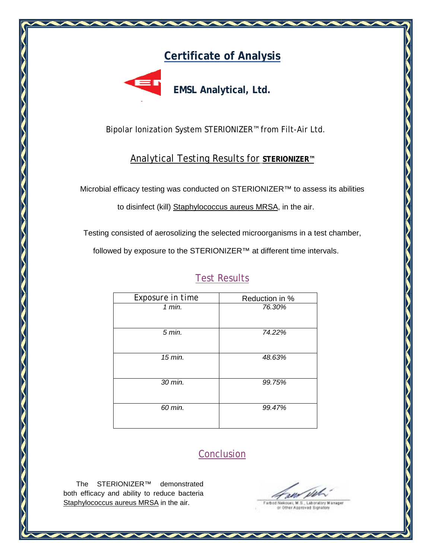# **Certificate of Analysis of**



Bipolar Ionization System STERIONIZER™ from Filt-Air Ltd.

#### Analytical Testing Results for Testing **STERIONIZER™**

Microbial efficacy testing was conducted on STERIONIZER™ to assess its abilitie

Testing consisted of aerosolizing the selected microorganisms in a test chamber,

followed by exposure to the STERIONIZER™ at different time intervals.

# **Test Results**

| efficacy testing was conducted on STERIONIZER™ to assess its abilities                                                                      |                     |  |
|---------------------------------------------------------------------------------------------------------------------------------------------|---------------------|--|
| to disinfect (kill) Staphylococcus aureus MRSA, in the air.                                                                                 |                     |  |
| consisted of aerosolizing the selected microorganisms in a test chamber,<br>ed by exposure to the STERIONIZER™ at different time intervals. |                     |  |
|                                                                                                                                             | <b>Test Results</b> |  |
| Exposure in time                                                                                                                            | Reduction in %      |  |
| $1$ min.                                                                                                                                    | 76.30%              |  |
|                                                                                                                                             |                     |  |
| $5$ min.                                                                                                                                    | 74.22%              |  |
|                                                                                                                                             |                     |  |
| 15 min.                                                                                                                                     | 48.63%              |  |
|                                                                                                                                             |                     |  |
| 30 min.                                                                                                                                     | 99.75%              |  |
|                                                                                                                                             |                     |  |
| 60 min.                                                                                                                                     | 99.47%              |  |
|                                                                                                                                             |                     |  |
|                                                                                                                                             |                     |  |
|                                                                                                                                             |                     |  |
|                                                                                                                                             | <b>Conclusion</b>   |  |
|                                                                                                                                             |                     |  |
|                                                                                                                                             |                     |  |
| RIONIZER™<br>demonstrated<br>nd ability to reduce bacteria                                                                                  |                     |  |
| aureus MRSA in the air.                                                                                                                     |                     |  |

# Conclusion

The STERIONIZER™ demonstrated both efficacy and ability to reduce bacteria Staphylococcus aureus MRSA in the air.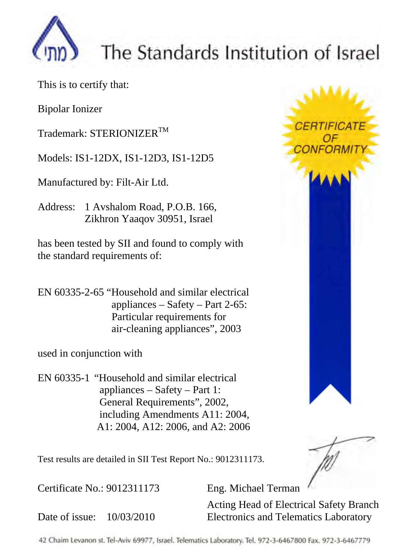

# The Standards Institution of Israel

This is to certify that:

Bipolar Ionizer

Trademark: STERIONIZER<sup>TM</sup>

Models: IS1-12DX, IS1-12D3, IS1-12D5

Manufactured by: Filt-Air Ltd.

Address: 1 Avshalom Road, P.O.B. 166, Zikhron Yaaqov 30951, Israel

has been tested by SII and found to comply with the standard requirements of:

EN 60335-2-65 "Household and similar electrical appliances – Safety – Part 2-65: Particular requirements for air-cleaning appliances", 2003

used in conjunction with

EN 60335-1 "Household and similar electrical appliances – Safety – Part 1: General Requirements", 2002, including Amendments A11: 2004, A1: 2004, A12: 2006, and A2: 2006



Test results are detailed in SII Test Report No.: 9012311173.

Certificate No.: 9012311173 Eng. Michael Terman

Date of issue: 10/03/2010

Acting Head of Electrical Safety Branch Electronics and Telematics Laboratory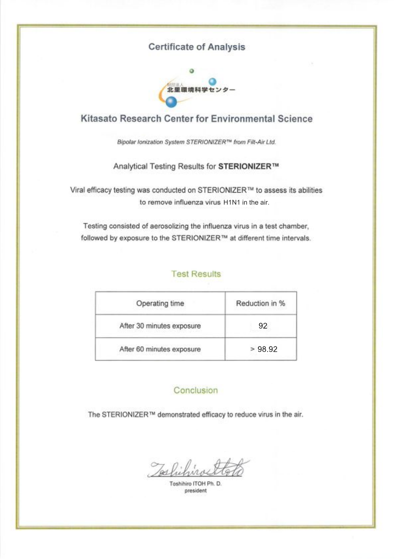#### **Certificate of Analysis**



#### Kitasato Research Center for Environmental Science

Bipolar Ionization System STERIONIZER™ from Filt-Air Ltd.

#### Analytical Testing Results for STERIONIZER™

Viral efficacy testing was conducted on STERIONIZER™ to assess its abilities to remove influenza virus H1N1 in the air.

Testing consisted of aerosolizing the influenza virus in a test chamber, followed by exposure to the STERIONIZER™ at different time intervals.

#### **Test Results**

| Operating time            | Reduction in %  |  |  |  |
|---------------------------|-----------------|--|--|--|
| After 30 minutes exposure | 92 <sub>1</sub> |  |  |  |
| After 60 minutes exposure | >98.92          |  |  |  |

#### Conclusion

The STERIONIZER™ demonstrated efficacy to reduce virus in the air.

Joshihiros

Toshihiro ITOH Ph. D. president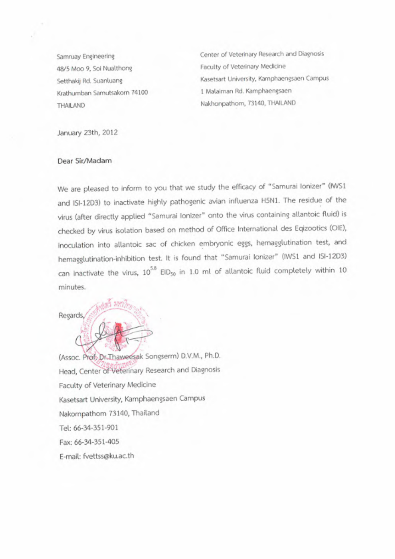Samruay Engineering 48/5 Moo 9, Soi Nualthong Setthakij Rd. Suanluang Krathumban Samutsakorn 74100 THAILAND

Center of Veterinary Research and Diagnosis Faculty of Veterinary Medicine Kasetsart University, Kamphaengsaen Campus 1 Malaiman Rd. Kamphaengsaen Nakhonpathom, 73140, THAILAND

January 23th, 2012

#### Dear Sir/Madam

We are pleased to inform to you that we study the efficacy of "Samurai Ionizer" (IWS1 and ISI-1203) to inactivate highly pathogenic avian influenza H5N1. The residue of the virus (after directly applied "Samurai Ionizer" onto the virus containing allantoic fluid) is checked by virus isolation based on method of Office International des Eqizootics (OIE), inoculation into allantoic sac of chicken embryonic eggs, hemagglutination test, and hemagglutination-inhibition test. It is found that "Samurai Ionizer" (IWS1 and ISI-12D3) can inactivate the virus, 10<sup>5.8</sup> EID<sub>50</sub> in 1.0 ml of allantoic fluid completely within 10 minutes.



(Assoc. Prof. Dr. Thaweesak Songserm) D.V.M., Ph.D. Head, Center of Veterinary Research and Diagnosis Faculty of Veterinary Medicine Kasetsart University, Kamphaengsaen Campus Nakompathom 73140, Thailand Tel: 66-34-351-901 Fax: 66-34-351-405 E-mail: fvettss@ku.ac.th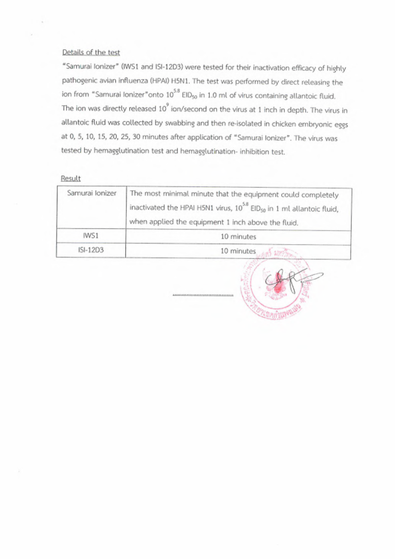#### Details of the test

"Samurai Ionizer" (IWS1 and ISI-12D3) were tested for their inactivation efficacy of highly pathogenic avian influenza (HPAI) H5N1. The test was performed by direct releasing the ion from "Samurai Ionizer" onto 10<sup>5.8</sup> EID<sub>50</sub> in 1.0 ml of virus containing allantoic fluid. The ion was directly released 10<sup>9</sup> ion/second on the virus at 1 inch in depth. The virus in allantoic fluid was collected by swabbing and then re-isolated in chicken embryonic eggs at 0, 5, 10, 15, 20, 25, 30 minutes after application of "Samurai Ionizer". The virus was tested by hemagglutination test and hemagglutination- inhibition test.

#### Result

| Samurai Ionizer | The most minimal minute that the equipment could completely<br>inactivated the HPAI H5N1 virus, 10 <sup>5.8</sup> EID <sub>50</sub> in 1 ml allantoic fluid,<br>when applied the equipment 1 inch above the fluid. |  |  |  |  |  |
|-----------------|--------------------------------------------------------------------------------------------------------------------------------------------------------------------------------------------------------------------|--|--|--|--|--|
| IWS1            | 10 minutes                                                                                                                                                                                                         |  |  |  |  |  |
| ISI-12D3        | 10 minutes and with min                                                                                                                                                                                            |  |  |  |  |  |

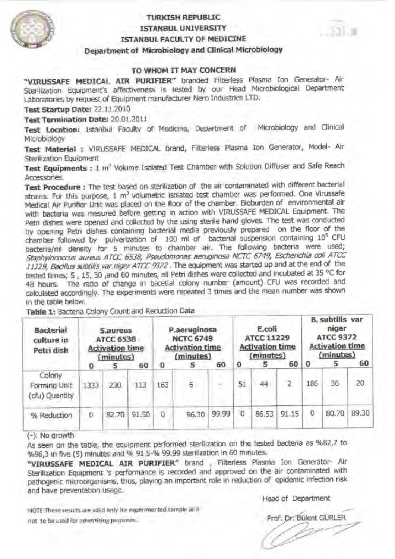

#### **TURKISH REPUBLIC ISTANBUL UNIVERSITY** ISTANBUL FACULTY OF MEDICINE Department of Microbiology and Clinical Microbiology

#### TO WHOM IT MAY CONCERN

"VIRUSSAFE MEDICAL AIR PURIFIER" branded Filterless Plasma Ion Generator- Air Sterilization Equipment's affectiveness is tested by our Head Microbiological Department Laboratories by request of Equipment manufacturer Nero Industries LTD.

Test Startup Date: 22.11.2010

Test Termination Date: 20.01.2011

Test Location: Istanbul Faculty of Medicine, Department of Microbiology and Clinical Microbiology

Test Material : VIRUSSAFE MEDICAL brand, Filterless Plasma Ion Generator, Model- Air Sterilization Equipment

Test Equipments : 1 m<sup>®</sup> Volume Isolated Test Chamber with Solution Diffuser and Safe Reach Accessones.

Test Procedure : The test based on sterilization of the air contaminated with different bacterial strains. For this purpose, 1 m<sup>3</sup> volumetric isolated test chamber was performed. One Virussafe Medical Air Purifier Unit was placed on the floor of the chamber. Bioburden of environmental air with bacteria was mesured before getting in action with VIRUSSAFE MEDICAL Equipment. The Petri dishes were opened and collected by the using sterile hand gloves. The test was conducted by opening Petri dishes containing bacterial media previously prepared on the floor of the chamber followed by pulverization of 100 ml of bacterial suspension containing 10<sup>5</sup> CFU bacteria/ml density for 5 minutes to chamber air. The following bacteria were used; Staphylococcus aureus ATCC 6538, Pseudomonas aeruginosa NCTC 6749, Escherichia coli ATCC 11229, Bacillus subtilis var.niger ATCC 9372. The equipment was started up and at the end of the tested times; 5, 15, 30 ,and 60 minutes, all Petri dishes were collected and incubated at 35 °C for 48 hours. The ratio of change in bacetial colony number (amount) CFU was recorded and calculated accordingly. The experiments were repeated 3 times and the mean number was shown in the table below.

| <b>Bacterial</b><br>culture in<br>Petri dish | <b>S</b> .aureus<br><b>ATCC 6538</b><br><b>Activation time</b><br>(minutes)<br>60<br>5<br>o |       |       | P.aeruginosa<br><b>NCTC 6749</b><br><b>Activation time</b><br>(minutes)<br>60<br>5 |       | E.coli<br>ATCC 11229<br><b>Activation time</b><br>(minutes)<br>60<br>0<br>5 |    |       | <b>B. SUDGIIS VAT</b><br>niger<br><b>ATCC 9372</b><br><b>Activation time</b><br>(minutes)<br>60<br>$\Omega$<br>5 |     |       |       |
|----------------------------------------------|---------------------------------------------------------------------------------------------|-------|-------|------------------------------------------------------------------------------------|-------|-----------------------------------------------------------------------------|----|-------|------------------------------------------------------------------------------------------------------------------|-----|-------|-------|
| Colony<br>Forming Unit<br>cfu) Quantity      | 1333                                                                                        | 230   | 113   | 163                                                                                | 6     |                                                                             | 51 | 44    |                                                                                                                  | 186 | 36    | 20    |
| % Reduction                                  | 0                                                                                           | 82.70 | 91.50 | o                                                                                  | 96.30 | 99.99                                                                       | о  | 86.53 | 91.15                                                                                                            | 0   | 80.70 | 89.30 |

Table 1: Bacteria Colony Count and Reduction Data

(-): No growth

As seen on the table, the equipment performed sterilization on the tested bacteria as %82,7 to %96,3 in five (5) minutes and % 91.5-% 99.99 sterilization in 60 minutes.

"VIRUSSAFE MEDICAL AIR PURIFIER" brand, Filterless Plasma Ion Generator- Air Sterilization Equipment 's performance is recorded and approved on the air contaminated with pathogenic microorganisms, thus, playing an important role in reduction of epidemic infection risk and have preventation usage.

NOTE: These results are valid only for experimented sample and not to be used for advertising purposes.

Head of Department

Prof. Dr. Bülent GÜRLER

August 2010 and 20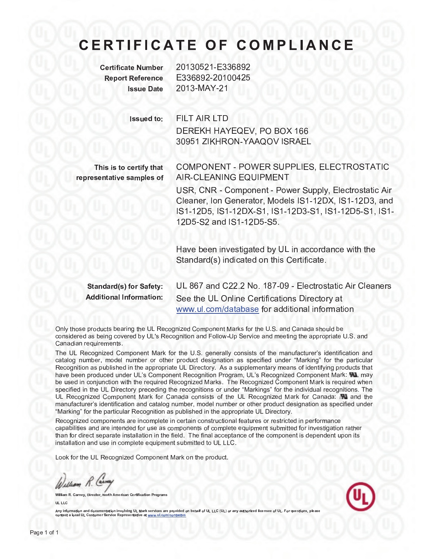# **CERTIFICATE OF COMPLIANCE**

**Certificate Number Report Reference Issue Date** 

 $N_{\text{unibon}}$  20120521  $\square$ 226902 E336892-20100425  $\frac{1}{2010}$   $\frac{2012}{111}$   $\frac{1}{21}$ 

Issued to: The contract of the contract of the contract of the contract of the contract of the contract of the

**FILT AIR LTD** D ER EKH HAYEQ EV , PO BOX <sup>166</sup> 30051 ZIKUPON VAAOOV ISPAEL

 $T$  is the certain that is the certain that is the certain that is the certain that is the certain that is the certain of  $\alpha$ representative samples of

<sup>of</sup> AIR CLEANING EQUIPMENT COMPONENT , POWER SUPPLIES, ELECTROSTATIC

USR, CNR Component Powe<sup>r</sup> Supply, <sup>E</sup>lect rostat ic Air Cleaner, Ion Conorator, Models IS1, 12DX, IS1, 12D3, and IC1 12D5 IC1 12DV C1 IC1 12D2 C1 IC1 12D5 C1 IC1  $12DE$   $S2$  and  $IS1$   $12DE$   $S5$ 

Have been investigated by UL in accordance with the Standa rd (s ) indicated on this Ce rt if icate.

 $\mathbf{S}$  and  $\mathbf{S}$  is  $\mathbf{S}$  and  $\mathbf{S}$  is stripped in Safety: Additional Information in the information of the interest of the interest of the interest of the interest of the interest of the interest of the interest of the interest of the interest of the interest of the interest of t

 $U\&R$  and  $C$ <sup>22.2</sup> No. 187.00 Electrostatic Air Cleaners  $\sim$  the UL Online Ce rt is director in  $\sim$  10  $\mu$  is director ry at in  $\sim$  $\mathcal{L} = \{x_1, x_2, \ldots, x_n\}$  is a different info relation of relations  $\mathcal{L} = \{x_1, x_2, \ldots, x_n\}$ 

 $\Omega$  the UL Recognized Component Marks for the ULS . And Canada show  $\Omega$  is the U.S . and Canada show  $\Omega$  shown  $\Omega$  shown  $\Omega$  shown  $\Omega$  shown  $\Omega$  shown  $\Omega$  shown  $\Omega$  shown  $\Omega$  shown  $\Omega$  shown  $\Omega$  shown  $\Omega$  sho considered as being covered by UL's Recognition and FollowUp Service and meeting th<sup>e</sup> appropriate U.S. and  $\alpha$  requirements . The contract of  $\alpha$ 

The UL Recognized Component Mark for the U.S. generally consists of the manufacturer's identification and catalog number, model number or other product designation as specified under "Marking" for the particular  $R$ ecognition as published in the appropriate UL Directory . As a supplementary means of identifying products that  $\Gamma$ have been produced under UL's Component Recognition Program, UL's Recognized Component Mark: TAL may be <sup>u</sup>sed in conj unction with th<sup>e</sup> required Recognized <sup>M</sup>arks . The Recognized Component <sup>M</sup>ark is required when specified in the UL Directory preceding the recognitions or under "Markings" for the individual recognitions. The  $U_R$  recognized  $C_R$  for Canada consistence  $C_R$  consists of the UL Recognized Mark for  $C_R$  is and the UL Recognized Mark for Canada in  $C_R$ manufacturer's identification and catalog number, model number or other product designation as specified under "Marking" for the particular Recognition as published in the appropriate UL Directory.

Recognized components are incomplete in <sup>c</sup>ertain constructional features <sup>o</sup><sup>r</sup> restricted in performance capabilities and are intended for <sup>u</sup>se as components <sup>o</sup><sup>f</sup> complete equipment submitted for investigation rather than for <sup>d</sup>irect separate installation in the field . The final acceptance of th<sup>e</sup> component is <sup>d</sup>ependent <sup>u</sup>pon its installation and use in complete equipment submitted to UL LLC.

Look for th<sup>e</sup> UL Recognized Component Mark <sup>o</sup><sup>n</sup> th<sup>e</sup> product .

William R. Carry

William R. Carney, Director , North American Certification Programs UL LLC



Any information and documentation involving UL Mark services are provided on behalf of UL LLC (UL) or any authorized licensee of UL. For questions, please